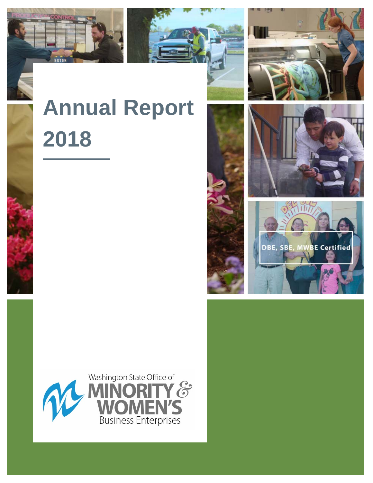



# **Annual Report 2018**





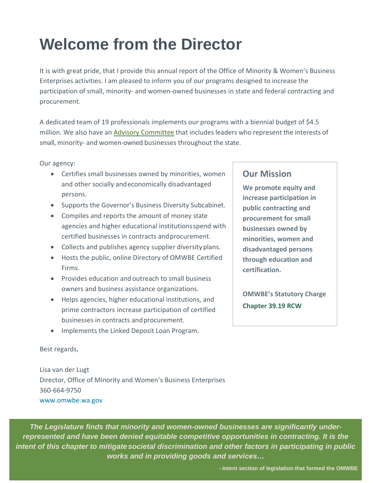# **Welcome from the Director**

It is with great pride, that I provide this annual report of the Office of Minority & Women's Business Enterprises activities. I am pleased to inform you of our programs designed to increase the participation of small, minority- and women-owned businesses in state and federal contracting and procurement.

A dedicated team of 19 professionals implements our programs with a biennial budget of \$4.5 million. We also have an [Advisory](http://omwbe.wa.gov/advisory-committee/) [Committee](http://omwbe.wa.gov/advisory-committee/) that includes leaders who represent the interests of small, minority- and women-owned businesses throughout the state.

Our agency:

- Certifies small businesses owned by minorities, women and other socially andeconomically disadvantaged persons.
- Supports the Governor's Business Diversity Subcabinet.
- Compiles and reports the amount of money state agencies and higher educational institutionsspend with certified businesses in contracts andprocurement.
- Collects and publishes agency supplier diversityplans.
- Hosts the public, online Directory of OMWBE Certified Firms.
- Provides education and outreach to small business owners and business assistance organizations.
- Helps agencies, higher educational institutions, and prime contractors increase participation of certified businesses in contracts and procurement.
- Implements the Linked Deposit Loan Program.

# **Our Mission**

**We promote equity and increase participation in public contracting and procurement for small businesses owned by minorities, women and disadvantaged persons through education and certification.**

**OMWBE's Statutory Charge [Chapter 39.19 RCW](http://apps.leg.wa.gov/RCW/default.aspx?cite=39.19)** 

Best regards,

Lisa van der Lugt Director, Office of Minority and Women's Business Enterprises 360-664-9750 [www.omwbe.wa.gov](http://www.omwbe.wa.gov/)

*The Legislature finds that minority and women-owned businesses are significantly underrepresented and have been denied equitable competitive opportunities in contracting. It is the intent of this chapter to mitigate societal discrimination and other factors in participating in public works and in providing goods and services…*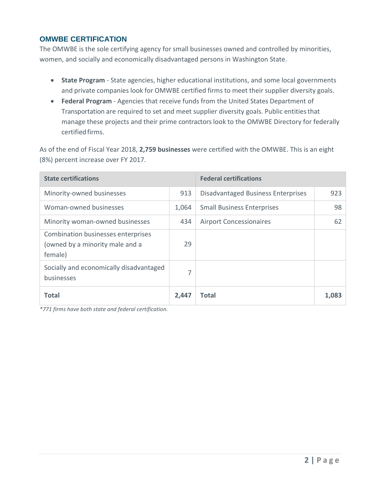# **OMWBE CERTIFICATION**

The OMWBE is the sole certifying agency for small businesses owned and controlled by minorities, women, and socially and economically disadvantaged persons in Washington State.

- **State Program** State agencies, higher educational institutions, and some local governments and private companies look for OMWBE certified firms to meet their supplier diversity goals.
- **Federal Program** Agencies that receive funds from the United States Department of Transportation are required to set and meet supplier diversity goals. Public entities that manage these projects and their prime contractors look to the OMWBE Directory for federally certified firms.

As of the end of Fiscal Year 2018, **2,759 businesses** were certified with the OMWBE. This is an eight (8%) percent increase over FY 2017.

| <b>State certifications</b>                                                      |       |                                    | <b>Federal certifications</b> |  |  |
|----------------------------------------------------------------------------------|-------|------------------------------------|-------------------------------|--|--|
| Minority-owned businesses                                                        | 913   | Disadvantaged Business Enterprises | 923                           |  |  |
| Woman-owned businesses                                                           | 1,064 | <b>Small Business Enterprises</b>  | 98                            |  |  |
| Minority woman-owned businesses                                                  | 434   | <b>Airport Concessionaires</b>     | 62                            |  |  |
| Combination businesses enterprises<br>(owned by a minority male and a<br>female) | 29    |                                    |                               |  |  |
| Socially and economically disadvantaged<br>businesses                            | 7     |                                    |                               |  |  |
| <b>Total</b>                                                                     | 2,447 | Total                              | 1,083                         |  |  |

*\*771 firms have both state and federal certification.*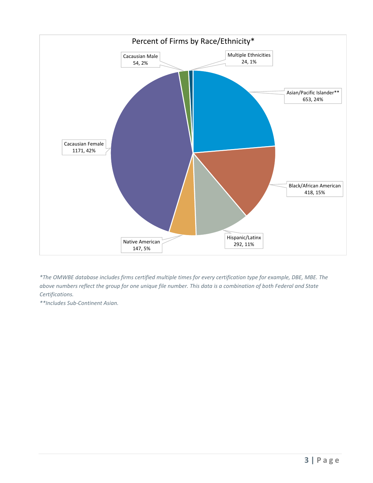

*\*The OMWBE database includes firms certified multiple times for every certification type for example, DBE, MBE. The above numbers reflect the group for one unique file number. This data is a combination of both Federal and State Certifications.*

*\*\*Includes Sub-Continent Asian.*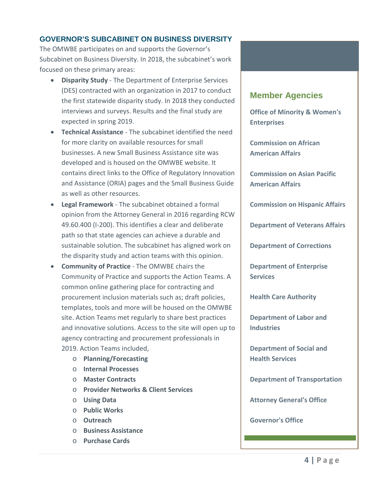# **GOVERNOR'S SUBCABINET ON BUSINESS DIVERSITY**

The OMWBE participates on and supports the Governor's Subcabinet on Business Diversity. In 2018, the subcabinet's work focused on these primary areas:

- **Disparity Study** The Department of Enterprise Services (DES) contracted with an organization in 2017 to conduct the first statewide disparity study. In 2018 they conducted interviews and surveys. Results and the final study are expected in spring 2019.
- **Technical Assistance** The subcabinet identified the need for more clarity on available resources for small businesses. A new Small Business Assistance site was developed and is housed on the OMWBE website. It contains direct links to the Office of Regulatory Innovation and Assistance (ORIA) pages and the Small Business Guide as well as other resources.
- **Legal Framework** The subcabinet obtained a formal opinion from the Attorney General in 2016 regarding RCW 49.60.400 (I-200). This identifies a clear and deliberate path so that state agencies can achieve a durable and sustainable solution. The subcabinet has aligned work on the disparity study and action teams with this opinion.
- **Community of Practice** The OMWBE chairs the Community of Practice and supports the Action Teams. A common online gathering place for contracting and procurement inclusion materials such as; draft policies, templates, tools and more will be housed on the OMWBE site. Action Teams met regularly to share best practices and innovative solutions. Access to the site will open up to agency contracting and procurement professionals in 2019. Action Teams included,
	- o **Planning/Forecasting**
	- o **Internal Processes**
	- o **Master Contracts**
	- o **Provider Networks & Client Services**
	- o **Using Data**
	- o **Public Works**
	- o **Outreach**
	- o **Business Assistance**
	- o **Purchase Cards**

# **Member Agencies**

**Office of Minority & Women's Enterprises**

**Commission on African American Affairs**

**Commission on Asian Pacific American Affairs**

**Commission on Hispanic Affairs**

**Department of Veterans Affairs**

**Department of Corrections**

**Department of Enterprise Services**

**Health Care Authority**

**Department of Labor and Industries**

**Department of Social and Health Services**

**Department of Transportation**

**Attorney General's Office**

**Governor's Office**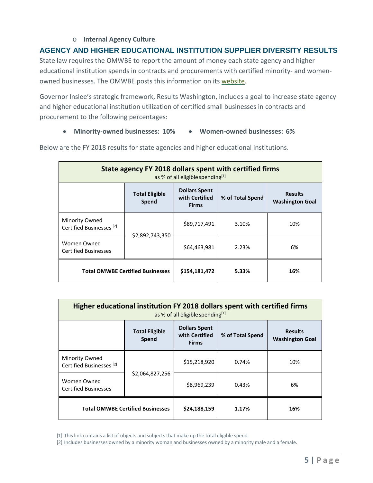### o **Internal Agency Culture**

# **AGENCY AND HIGHER EDUCATIONAL INSTITUTION SUPPLIER DIVERSITY RESULTS**

State law requires the OMWBE to report the amount of money each state agency and higher educational institution spends in contracts and procurements with certified minority- and womenowned businesses. The OMWBE posts this information on its [website.](https://omwbe.wa.gov/state-supplier-diversity-reporting)

Governor Inslee's strategic framework, Results Washington, includes a goal to increase state agency and higher educational institution utilization of certified small businesses in contracts and procurement to the following percentages:

#### • **Minority-owned businesses: 10%** • **Women-owned businesses: 6%**

| State agency FY 2018 dollars spent with certified firms<br>as % of all eligible spending[1] |                                |                                                        |                  |                                          |
|---------------------------------------------------------------------------------------------|--------------------------------|--------------------------------------------------------|------------------|------------------------------------------|
|                                                                                             | <b>Total Eligible</b><br>Spend | <b>Dollars Spent</b><br>with Certified<br><b>Firms</b> | % of Total Spend | <b>Results</b><br><b>Washington Goal</b> |
| Minority Owned<br>Certified Businesses <sup>[2]</sup>                                       | \$2,892,743,350                | \$89,717,491                                           | 3.10%            | 10%                                      |
| Women Owned<br><b>Certified Businesses</b>                                                  |                                | \$64,463,981                                           | 2.23%            | 6%                                       |
| <b>Total OMWBE Certified Businesses</b>                                                     |                                | \$154,181,472                                          | 5.33%            | 16%                                      |

Below are the FY 2018 results for state agencies and higher educational institutions.

| Higher educational institution FY 2018 dollars spent with certified firms<br>as % of all eligible spending[1] |                                |                                                        |                  |                                          |  |
|---------------------------------------------------------------------------------------------------------------|--------------------------------|--------------------------------------------------------|------------------|------------------------------------------|--|
|                                                                                                               | <b>Total Eligible</b><br>Spend | <b>Dollars Spent</b><br>with Certified<br><b>Firms</b> | % of Total Spend | <b>Results</b><br><b>Washington Goal</b> |  |
| Minority Owned<br>Certified Businesses <sup>[2]</sup>                                                         | \$2,064,827,256                | \$15,218,920                                           | 0.74%            | 10%                                      |  |
| Women Owned<br><b>Certified Businesses</b>                                                                    |                                | \$8,969,239                                            | 0.43%            | 6%                                       |  |
| <b>Total OMWBE Certified Businesses</b>                                                                       |                                | \$24,188,159                                           | 1.17%            | 16%                                      |  |

[1] This [link](http://omwbe.wa.gov/state-supplier-diversity-reporting/what-counted-report) contains a list of objects and subjects that make up the total eligible spend.

[2] Includes businesses owned by a minority woman and businesses owned by a minority male and a female.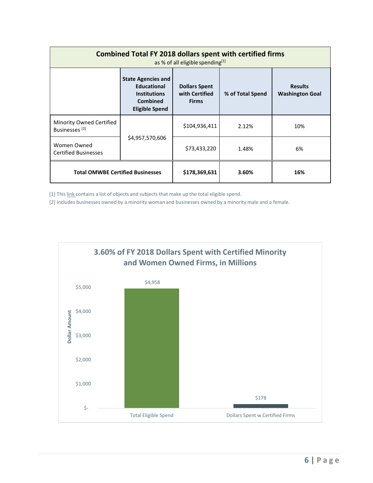| <b>Combined Total FY 2018 dollars spent with certified firms</b><br>as % of all eligible spending[1] |                                                                                                                    |                                                        |                  |                                          |  |
|------------------------------------------------------------------------------------------------------|--------------------------------------------------------------------------------------------------------------------|--------------------------------------------------------|------------------|------------------------------------------|--|
|                                                                                                      | <b>State Agencies and</b><br><b>Educational</b><br><b>Institutions</b><br><b>Combined</b><br><b>Eligible Spend</b> | <b>Dollars Spent</b><br>with Certified<br><b>Firms</b> | % of Total Spend | <b>Results</b><br><b>Washington Goal</b> |  |
| Minority Owned Certified<br>Businesses <sup>[2]</sup>                                                | \$4,957,570,606                                                                                                    | \$104,936,411                                          | 2.12%            | 10%                                      |  |
| Women Owned<br><b>Certified Businesses</b>                                                           |                                                                                                                    | \$73,433,220                                           | 1.48%            | 6%                                       |  |
| <b>Total OMWBE Certified Businesses</b>                                                              |                                                                                                                    | \$178,369,631                                          | 3.60%            | 16%                                      |  |

[1] This link contains a list of objects and subjects that make up the total eligible spend.

[2] Includes businesses owned by a minority woman and businesses owned by a minority male and a female.

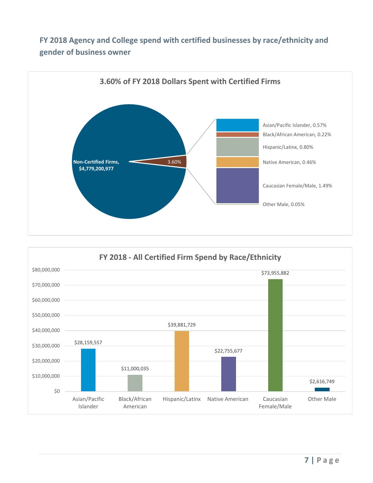# **FY 2018 Agency and College spend with certified businesses by race/ethnicity and gender of business owner**



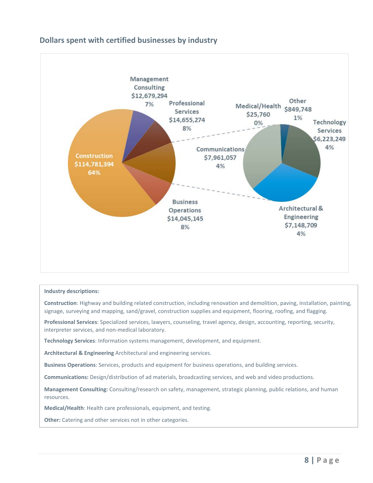# **Dollars spent with certified businesses by industry**



#### **Industry descriptions:**

**Construction**: Highway and building related construction, including renovation and demolition, paving, installation, painting, signage, surveying and mapping, sand/gravel, construction supplies and equipment, flooring, roofing, and flagging.

**Professional Services**: Specialized services, lawyers, counseling, travel agency, design, accounting, reporting, security, interpreter services, and non-medical laboratory.

**Technology Services**: Information systems management, development, and equipment.

**Architectural & Engineering** Architectural and engineering services.

**Business Operations**: Services, products and equipment for business operations, and building services.

**Communications:** Design/distribution of ad materials, broadcasting services, and web and video productions.

**Management Consulting:** Consulting/research on safety, management, strategic planning, public relations, and human resources.

**Medical/Health**: Health care professionals, equipment, and testing.

**Other:** Catering and other services not in other categories.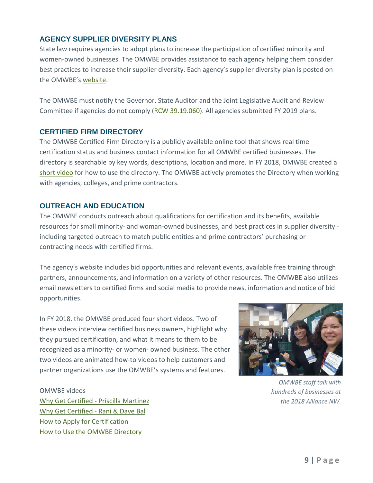# **AGENCY SUPPLIER DIVERSITY PLANS**

State law requires agencies to adopt plans to increase the participation of certified minority and women-owned businesses. The OMWBE provides assistance to each agency helping them consider best practices to increase their supplier diversity. Each agency's supplier diversity plan is posted on the OMWBE'[s website.](https://omwbe.wa.gov/state-supplier-diversity-reporting)

The OMWBE must notify the Governor, State Auditor and the Joint Legislative Audit and Review Committee if agencies do not comply [\(RCW 39.19.060\)](http://app.leg.wa.gov/RCW/default.aspx?cite=39.19.060). All agencies submitted FY 2019 plans.

#### **CERTIFIED FIRM DIRECTORY**

The OMWBE Certified Firm Directory is a publicly available online tool that shows real time certification status and business contact information for all OMWBE certified businesses. The directory is searchable by key words, descriptions, location and more. In FY 2018, OMWBE created a [short video](https://youtu.be/AMJ7acE_F3I) for how to use the directory. The OMWBE actively promotes the Directory when working with agencies, colleges, and prime contractors.

## **OUTREACH AND EDUCATION**

The OMWBE conducts outreach about qualifications for certification and its benefits, available resources for small minority- and woman-owned businesses, and best practices in supplier diversity including targeted outreach to match public entities and prime contractors' purchasing or contracting needs with certified firms.

The agency's website includes bid opportunities and relevant events, available free training through partners, announcements, and information on a variety of other resources. The OMWBE also utilizes email newsletters to certified firms and social media to provide news, information and notice of bid opportunities.

In FY 2018, the OMWBE produced four short videos. Two of these videos interview certified business owners, highlight why they pursued certification, and what it means to them to be recognized as a minority- or women- owned business. The other two videos are animated how-to videos to help customers and partner organizations use the OMWBE's systems and features.



*OMWBE staff talk with hundreds of businesses at the 2018 Alliance NW.*

OMWBE videos [Why Get Certified -](https://youtu.be/QxLlVLTcx1s) Priscilla Martinez [Why Get Certified -](https://youtu.be/eG-BIohnFVI) Rani & Dave Bal [How to Apply for Certification](https://youtu.be/_qD2s95wO68) [How to Use the OMWBE Directory](https://youtu.be/AMJ7acE_F3I)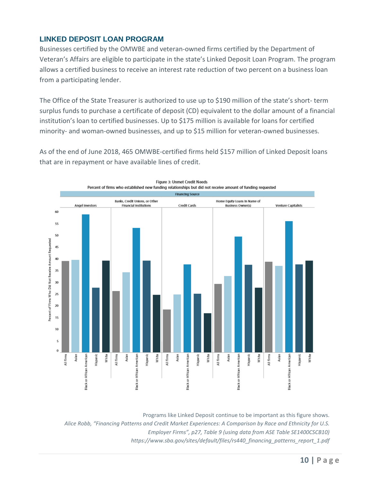# **LINKED DEPOSIT LOAN PROGRAM**

Businesses certified by the OMWBE and veteran-owned firms certified by the Department of Veteran's Affairs are eligible to participate in the state's Linked Deposit Loan Program. The program allows a certified business to receive an interest rate reduction of two percent on a business loan from a participating lender.

The Office of the State Treasurer is authorized to use up to \$190 million of the state's short- term surplus funds to purchase a certificate of deposit (CD) equivalent to the dollar amount of a financial institution's loan to certified businesses. Up to \$175 million is available for loans for certified minority- and woman-owned businesses, and up to \$15 million for veteran-owned businesses.

As of the end of June 2018, 465 OMWBE-certified firms held \$157 million of Linked Deposit loans that are in repayment or have available lines of credit.



Programs like Linked Deposit continue to be important as this figure shows. *Alice Robb, "Financing Patterns and Credit Market Experiences: A Comparison by Race and Ethnicity for U.S. Employer Firms", p27, Table 9 (using data from ASE Table SE1400CSCB10) https://www.sba.gov/sites/default/files/rs440\_financing\_patterns\_report\_1.pdf*